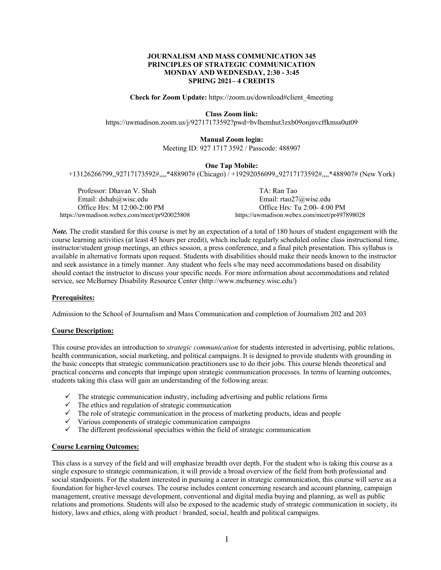## **JOURNALISM AND MASS COMMUNICATION 345 PRINCIPLES OF STRATEGIC COMMUNICATION MONDAY AND WEDNESDAY, 2:30 - 3:45 SPRING 2021– 4 CREDITS**

**Check for Zoom Update:** https://zoom.us/download#client\_4meeting

#### **Class Zoom link:**

https://uwmadison.zoom.us/j/92717173592?pwd=bvlhemhut3zxb09onjnvcffkmss0ut09

#### **Manual Zoom login:**

Meeting ID: 927 1717 3592 / Passcode: 488907

#### **One Tap Mobile:**

+13126266799,,92717173592#,,,,\*488907# (Chicago) / +19292056099,,92717173592#,,,,\*488907# (New York)

Professor: Dhavan V. Shah Tao TA: Ran Tao Email: dshah@wisc.edu Email: rtao27@wisc.edu https://uwmadison.webex.com/meet/pr920025808

Office Hrs: M 12:00-2:00 PM Office Hrs: Tu 2:00-4:00 PM Office Hrs: Tu 2:00-4:00 PM Office Hrs: Tu 2:00-4:00 PM Office Hrs: Tu 2:00-4:00 PM Office Hrs: Tu 2:00-4:00 PM Office Hrs: Tu 2:00-4:00 PM Office Hrs: Tu 2:00-4:00 P

*Note*. The credit standard for this course is met by an expectation of a total of 180 hours of student engagement with the course learning activities (at least 45 hours per credit), which include regularly scheduled online class instructional time, instructor/student group meetings, an ethics session, a press conference, and a final pitch presentation. This syllabus is available in alternative formats upon request. Students with disabilities should make their needs known to the instructor and seek assistance in a timely manner. Any student who feels s/he may need accommodations based on disability should contact the instructor to discuss your specific needs. For more information about accommodations and related service, see McBurney Disability Resource Center (http://www.mcburney.wisc.edu/)

#### **Prerequisites:**

Admission to the School of Journalism and Mass Communication and completion of Journalism 202 and 203

#### **Course Description:**

This course provides an introduction to *strategic communication* for students interested in advertising, public relations, health communication, social marketing, and political campaigns. It is designed to provide students with grounding in the basic concepts that strategic communication practitioners use to do their jobs. This course blends theoretical and practical concerns and concepts that impinge upon strategic communication processes. In terms of learning outcomes, students taking this class will gain an understanding of the following areas:

- $\checkmark$  The strategic communication industry, including advertising and public relations firms
- $\checkmark$  The ethics and regulation of strategic communication
- $\checkmark$  The role of strategic communication in the process of marketing products, ideas and people
- $\checkmark$  Various components of strategic communication campaigns
- $\checkmark$  The different professional specialties within the field of strategic communication

#### **Course Learning Outcomes:**

This class is a survey of the field and will emphasize breadth over depth. For the student who is taking this course as a single exposure to strategic communication, it will provide a broad overview of the field from both professional and social standpoints. For the student interested in pursuing a career in strategic communication, this course will serve as a foundation for higher-level courses. The course includes content concerning research and account planning, campaign management, creative message development, conventional and digital media buying and planning, as well as public relations and promotions. Students will also be exposed to the academic study of strategic communication in society, its history, laws and ethics, along with product / branded, social, health and political campaigns.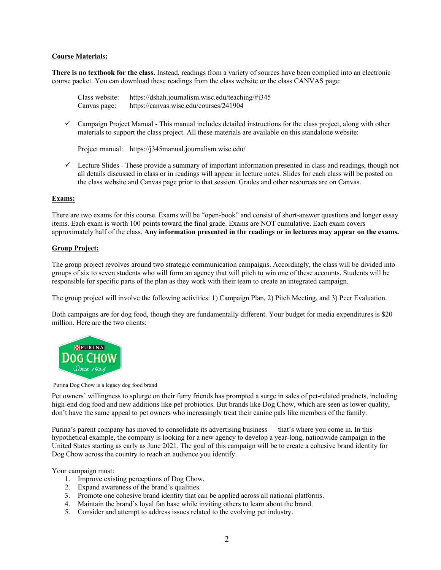## **Course Materials:**

**There is no textbook for the class.** Instead, readings from a variety of sources have been complied into an electronic course packet. You can download these readings from the class website or the class CANVAS page:

Class website: https://dshah.journalism.wisc.edu/teaching/#j345 Canvas page: https://canvas.wisc.edu/courses/241904

 $\checkmark$  Campaign Project Manual - This manual includes detailed instructions for the class project, along with other materials to support the class project. All these materials are available on this standalone website:

Project manual: https://j345manual.journalism.wisc.edu/

 $\checkmark$  Lecture Slides - These provide a summary of important information presented in class and readings, though not all details discussed in class or in readings will appear in lecture notes. Slides for each class will be posted on the class website and Canvas page prior to that session. Grades and other resources are on Canvas.

## **Exams:**

There are two exams for this course. Exams will be "open-book" and consist of short-answer questions and longer essay items. Each exam is worth 100 points toward the final grade. Exams are NOT cumulative. Each exam covers approximately half of the class. **Any information presented in the readings or in lectures may appear on the exams.**

## **Group Project:**

The group project revolves around two strategic communication campaigns. Accordingly, the class will be divided into groups of six to seven students who will form an agency that will pitch to win one of these accounts. Students will be responsible for specific parts of the plan as they work with their team to create an integrated campaign.

The group project will involve the following activities: 1) Campaign Plan, 2) Pitch Meeting, and 3) Peer Evaluation.

Both campaigns are for dog food, though they are fundamentally different. Your budget for media expenditures is \$20 million. Here are the two clients:



#### Purina Dog Chow is a legacy dog food brand

Pet owners' willingness to splurge on their furry friends has prompted a surge in sales of pet-related products, including high-end dog food and new additions like pet probiotics. But brands like Dog Chow, which are seen as lower quality, don't have the same appeal to pet owners who increasingly treat their canine pals like members of the family.

Purina's parent company has moved to consolidate its advertising business — that's where you come in. In this hypothetical example, the company is looking for a new agency to develop a year-long, nationwide campaign in the United States starting as early as June 2021. The goal of this campaign will be to create a cohesive brand identity for Dog Chow across the country to reach an audience you identify.

Your campaign must:

- 1. Improve existing perceptions of Dog Chow.
- 2. Expand awareness of the brand's qualities.
- 3. Promote one cohesive brand identity that can be applied across all national platforms.
- 4. Maintain the brand's loyal fan base while inviting others to learn about the brand.
- 5. Consider and attempt to address issues related to the evolving pet industry.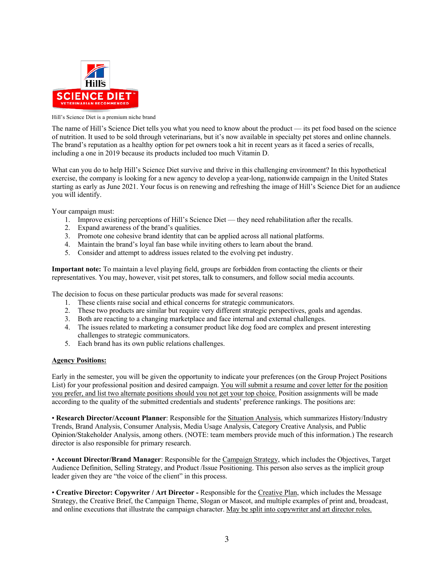

Hill's Science Diet is a premium niche brand

The name of Hill's Science Diet tells you what you need to know about the product — its pet food based on the science of nutrition. It used to be sold through veterinarians, but it's now available in specialty pet stores and online channels. The brand's reputation as a healthy option for pet owners took a hit in recent years as it faced a series of recalls, including a one in 2019 because its products included too much Vitamin D.

What can you do to help Hill's Science Diet survive and thrive in this challenging environment? In this hypothetical exercise, the company is looking for a new agency to develop a year-long, nationwide campaign in the United States starting as early as June 2021. Your focus is on renewing and refreshing the image of Hill's Science Diet for an audience you will identify.

Your campaign must:

- 1. Improve existing perceptions of Hill's Science Diet they need rehabilitation after the recalls.
- 2. Expand awareness of the brand's qualities.
- 3. Promote one cohesive brand identity that can be applied across all national platforms.
- 4. Maintain the brand's loyal fan base while inviting others to learn about the brand.
- 5. Consider and attempt to address issues related to the evolving pet industry.

**Important note:** To maintain a level playing field, groups are forbidden from contacting the clients or their representatives. You may, however, visit pet stores, talk to consumers, and follow social media accounts.

The decision to focus on these particular products was made for several reasons:

- 1. These clients raise social and ethical concerns for strategic communicators.
- 2. These two products are similar but require very different strategic perspectives, goals and agendas.
- 3. Both are reacting to a changing marketplace and face internal and external challenges.
- 4. The issues related to marketing a consumer product like dog food are complex and present interesting challenges to strategic communicators.
- 5. Each brand has its own public relations challenges.

## **Agency Positions:**

Early in the semester, you will be given the opportunity to indicate your preferences (on the Group Project Positions List) for your professional position and desired campaign. You will submit a resume and cover letter for the position you prefer, and list two alternate positions should you not get your top choice. Position assignments will be made according to the quality of the submitted credentials and students' preference rankings. The positions are:

• **Research Director/Account Planner**: Responsible for the Situation Analysis, which summarizes History/Industry Trends, Brand Analysis, Consumer Analysis, Media Usage Analysis, Category Creative Analysis, and Public Opinion/Stakeholder Analysis, among others. (NOTE: team members provide much of this information.) The research director is also responsible for primary research.

• **Account Director/Brand Manager**: Responsible for the Campaign Strategy, which includes the Objectives, Target Audience Definition, Selling Strategy, and Product /Issue Positioning. This person also serves as the implicit group leader given they are "the voice of the client" in this process.

• **Creative Director: Copywriter / Art Director -** Responsible for the Creative Plan, which includes the Message Strategy, the Creative Brief, the Campaign Theme, Slogan or Mascot, and multiple examples of print and, broadcast, and online executions that illustrate the campaign character. May be split into copywriter and art director roles.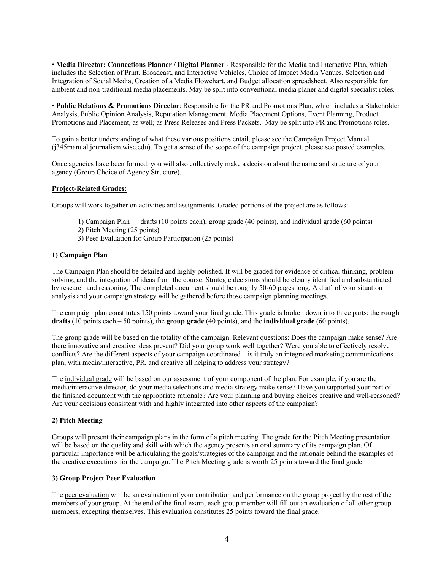• **Media Director: Connections Planner / Digital Planner** - Responsible for the Media and Interactive Plan, which includes the Selection of Print, Broadcast, and Interactive Vehicles, Choice of Impact Media Venues, Selection and Integration of Social Media, Creation of a Media Flowchart, and Budget allocation spreadsheet. Also responsible for ambient and non-traditional media placements. May be split into conventional media planer and digital specialist roles.

• **Public Relations & Promotions Director**: Responsible for the PR and Promotions Plan, which includes a Stakeholder Analysis, Public Opinion Analysis, Reputation Management, Media Placement Options, Event Planning, Product Promotions and Placement, as well; as Press Releases and Press Packets. May be split into PR and Promotions roles.

To gain a better understanding of what these various positions entail, please see the Campaign Project Manual (j345manual.journalism.wisc.edu). To get a sense of the scope of the campaign project, please see posted examples.

Once agencies have been formed, you will also collectively make a decision about the name and structure of your agency (Group Choice of Agency Structure).

## **Project-Related Grades:**

Groups will work together on activities and assignments. Graded portions of the project are as follows:

- 1) Campaign Plan drafts (10 points each), group grade (40 points), and individual grade (60 points)
- 2) Pitch Meeting (25 points)
- 3) Peer Evaluation for Group Participation (25 points)

#### **1) Campaign Plan**

The Campaign Plan should be detailed and highly polished. It will be graded for evidence of critical thinking, problem solving, and the integration of ideas from the course. Strategic decisions should be clearly identified and substantiated by research and reasoning. The completed document should be roughly 50-60 pages long. A draft of your situation analysis and your campaign strategy will be gathered before those campaign planning meetings.

The campaign plan constitutes 150 points toward your final grade. This grade is broken down into three parts: the **rough drafts** (10 points each – 50 points), the **group grade** (40 points), and the **individual grade** (60 points).

The group grade will be based on the totality of the campaign. Relevant questions: Does the campaign make sense? Are there innovative and creative ideas present? Did your group work well together? Were you able to effectively resolve conflicts? Are the different aspects of your campaign coordinated – is it truly an integrated marketing communications plan, with media/interactive, PR, and creative all helping to address your strategy?

The individual grade will be based on our assessment of your component of the plan. For example, if you are the media/interactive director, do your media selections and media strategy make sense? Have you supported your part of the finished document with the appropriate rationale? Are your planning and buying choices creative and well-reasoned? Are your decisions consistent with and highly integrated into other aspects of the campaign?

## **2) Pitch Meeting**

Groups will present their campaign plans in the form of a pitch meeting. The grade for the Pitch Meeting presentation will be based on the quality and skill with which the agency presents an oral summary of its campaign plan. Of particular importance will be articulating the goals/strategies of the campaign and the rationale behind the examples of the creative executions for the campaign. The Pitch Meeting grade is worth 25 points toward the final grade.

#### **3) Group Project Peer Evaluation**

The peer evaluation will be an evaluation of your contribution and performance on the group project by the rest of the members of your group. At the end of the final exam, each group member will fill out an evaluation of all other group members, excepting themselves. This evaluation constitutes 25 points toward the final grade.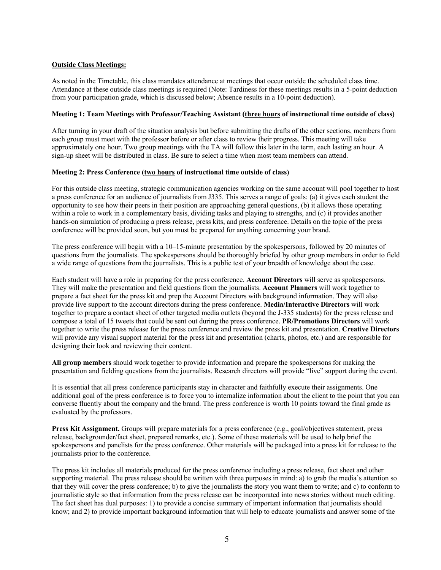## **Outside Class Meetings:**

As noted in the Timetable, this class mandates attendance at meetings that occur outside the scheduled class time. Attendance at these outside class meetings is required (Note: Tardiness for these meetings results in a 5-point deduction from your participation grade, which is discussed below; Absence results in a 10-point deduction).

## **Meeting 1: Team Meetings with Professor/Teaching Assistant (three hours of instructional time outside of class)**

After turning in your draft of the situation analysis but before submitting the drafts of the other sections, members from each group must meet with the professor before or after class to review their progress. This meeting will take approximately one hour. Two group meetings with the TA will follow this later in the term, each lasting an hour. A sign-up sheet will be distributed in class. Be sure to select a time when most team members can attend.

## **Meeting 2: Press Conference (two hours of instructional time outside of class)**

For this outside class meeting, strategic communication agencies working on the same account will pool together to host a press conference for an audience of journalists from J335. This serves a range of goals: (a) it gives each student the opportunity to see how their peers in their position are approaching general questions, (b) it allows those operating within a role to work in a complementary basis, dividing tasks and playing to strengths, and (c) it provides another hands-on simulation of producing a press release, press kits, and press conference. Details on the topic of the press conference will be provided soon, but you must be prepared for anything concerning your brand.

The press conference will begin with a 10–15-minute presentation by the spokespersons, followed by 20 minutes of questions from the journalists. The spokespersons should be thoroughly briefed by other group members in order to field a wide range of questions from the journalists. This is a public test of your breadth of knowledge about the case.

Each student will have a role in preparing for the press conference. **Account Directors** will serve as spokespersons. They will make the presentation and field questions from the journalists. **Account Planners** will work together to prepare a fact sheet for the press kit and prep the Account Directors with background information. They will also provide live support to the account directors during the press conference. **Media/Interactive Directors** will work together to prepare a contact sheet of other targeted media outlets (beyond the J-335 students) for the press release and compose a total of 15 tweets that could be sent out during the press conference. **PR/Promotions Directors** will work together to write the press release for the press conference and review the press kit and presentation. **Creative Directors** will provide any visual support material for the press kit and presentation (charts, photos, etc.) and are responsible for designing their look and reviewing their content.

**All group members** should work together to provide information and prepare the spokespersons for making the presentation and fielding questions from the journalists. Research directors will provide "live" support during the event.

It is essential that all press conference participants stay in character and faithfully execute their assignments. One additional goal of the press conference is to force you to internalize information about the client to the point that you can converse fluently about the company and the brand. The press conference is worth 10 points toward the final grade as evaluated by the professors.

**Press Kit Assignment.** Groups will prepare materials for a press conference (e.g., goal/objectives statement, press release, backgrounder/fact sheet, prepared remarks, etc.). Some of these materials will be used to help brief the spokespersons and panelists for the press conference. Other materials will be packaged into a press kit for release to the journalists prior to the conference.

The press kit includes all materials produced for the press conference including a press release, fact sheet and other supporting material. The press release should be written with three purposes in mind: a) to grab the media's attention so that they will cover the press conference; b) to give the journalists the story you want them to write; and c) to conform to journalistic style so that information from the press release can be incorporated into news stories without much editing. The fact sheet has dual purposes: 1) to provide a concise summary of important information that journalists should know; and 2) to provide important background information that will help to educate journalists and answer some of the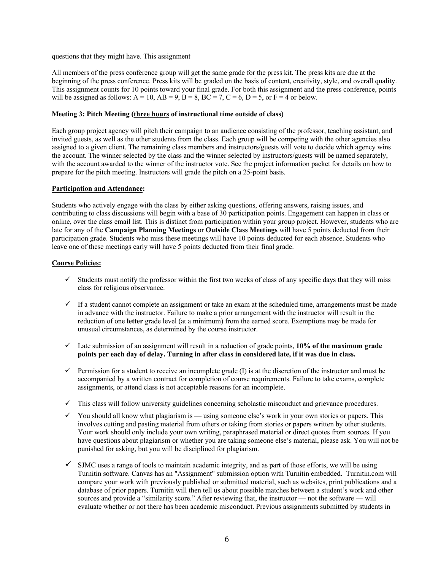questions that they might have. This assignment

All members of the press conference group will get the same grade for the press kit. The press kits are due at the beginning of the press conference. Press kits will be graded on the basis of content, creativity, style, and overall quality. This assignment counts for 10 points toward your final grade. For both this assignment and the press conference, points will be assigned as follows:  $A = 10$ ,  $AB = 9$ ,  $B = 8$ ,  $BC = 7$ ,  $C = 6$ ,  $D = 5$ , or  $F = 4$  or below.

## **Meeting 3: Pitch Meeting (three hours of instructional time outside of class)**

Each group project agency will pitch their campaign to an audience consisting of the professor, teaching assistant, and invited guests, as well as the other students from the class. Each group will be competing with the other agencies also assigned to a given client. The remaining class members and instructors/guests will vote to decide which agency wins the account. The winner selected by the class and the winner selected by instructors/guests will be named separately, with the account awarded to the winner of the instructor vote. See the project information packet for details on how to prepare for the pitch meeting. Instructors will grade the pitch on a 25-point basis.

## **Participation and Attendance:**

Students who actively engage with the class by either asking questions, offering answers, raising issues, and contributing to class discussions will begin with a base of 30 participation points. Engagement can happen in class or online, over the class email list. This is distinct from participation within your group project. However, students who are late for any of the **Campaign Planning Meetings** or **Outside Class Meetings** will have 5 points deducted from their participation grade. Students who miss these meetings will have 10 points deducted for each absence. Students who leave one of these meetings early will have 5 points deducted from their final grade.

## **Course Policies:**

- $\checkmark$  Students must notify the professor within the first two weeks of class of any specific days that they will miss class for religious observance.
- $\checkmark$  If a student cannot complete an assignment or take an exam at the scheduled time, arrangements must be made in advance with the instructor. Failure to make a prior arrangement with the instructor will result in the reduction of one **letter** grade level (at a minimum) from the earned score. Exemptions may be made for unusual circumstances, as determined by the course instructor.
- $\checkmark$  Late submission of an assignment will result in a reduction of grade points, 10% of the maximum grade **points per each day of delay. Turning in after class in considered late, if it was due in class.**
- $\checkmark$  Permission for a student to receive an incomplete grade (I) is at the discretion of the instructor and must be accompanied by a written contract for completion of course requirements. Failure to take exams, complete assignments, or attend class is not acceptable reasons for an incomplete.
- $\checkmark$  This class will follow university guidelines concerning scholastic misconduct and grievance procedures.
- $\checkmark$  You should all know what plagiarism is using someone else's work in your own stories or papers. This involves cutting and pasting material from others or taking from stories or papers written by other students. Your work should only include your own writing, paraphrased material or direct quotes from sources. If you have questions about plagiarism or whether you are taking someone else's material, please ask. You will not be punished for asking, but you will be disciplined for plagiarism.
- $\checkmark$  SJMC uses a range of tools to maintain academic integrity, and as part of those efforts, we will be using Turnitin software. Canvas has an "Assignment" submission option with Turnitin embedded. Turnitin.com will compare your work with previously published or submitted material, such as websites, print publications and a database of prior papers. Turnitin will then tell us about possible matches between a student's work and other sources and provide a "similarity score." After reviewing that, the instructor — not the software — will evaluate whether or not there has been academic misconduct. Previous assignments submitted by students in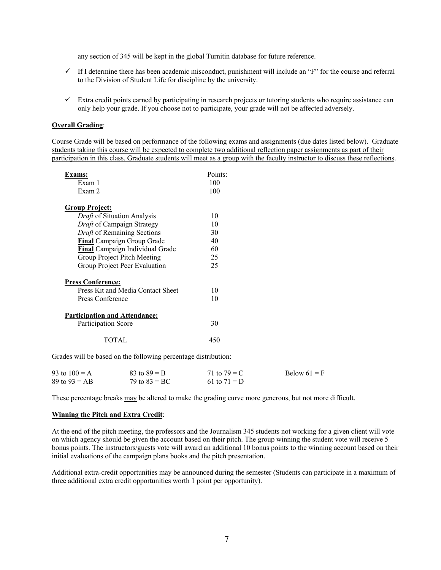any section of 345 will be kept in the global Turnitin database for future reference.

- $\checkmark$  If I determine there has been academic misconduct, punishment will include an "F" for the course and referral to the Division of Student Life for discipline by the university.
- $\checkmark$  Extra credit points earned by participating in research projects or tutoring students who require assistance can only help your grade. If you choose not to participate, your grade will not be affected adversely.

#### **Overall Grading**:

Course Grade will be based on performance of the following exams and assignments (due dates listed below). Graduate students taking this course will be expected to complete two additional reflection paper assignments as part of their participation in this class. Graduate students will meet as a group with the faculty instructor to discuss these reflections.

| Exams:                               |           |
|--------------------------------------|-----------|
| Exam 1                               | 100       |
| Exam 2                               | 100       |
| <u>Group Project:</u>                |           |
| <i>Draft</i> of Situation Analysis   | 10        |
| Draft of Campaign Strategy           | 10        |
| Draft of Remaining Sections          | 30        |
| <b>Final</b> Campaign Group Grade    | 40        |
| Final Campaign Individual Grade      | 60        |
| Group Project Pitch Meeting          | 25        |
| Group Project Peer Evaluation        | 25        |
| <b>Press Conference:</b>             |           |
| Press Kit and Media Contact Sheet    | 10        |
| Press Conference                     | 10        |
| <b>Participation and Attendance:</b> |           |
| Participation Score                  | <u>30</u> |
| TOTAL.                               | 450       |

Grades will be based on the following percentage distribution:

| 93 to $100 = A$ | $83 \text{ to } 89 = B$ | 71 to $79 = C$ | Below $61 = F$ |
|-----------------|-------------------------|----------------|----------------|
| 89 to $93 = AB$ | 79 to $83 = BC$         | 61 to $71 = D$ |                |

These percentage breaks may be altered to make the grading curve more generous, but not more difficult.

#### **Winning the Pitch and Extra Credit**:

At the end of the pitch meeting, the professors and the Journalism 345 students not working for a given client will vote on which agency should be given the account based on their pitch. The group winning the student vote will receive 5 bonus points. The instructors/guests vote will award an additional 10 bonus points to the winning account based on their initial evaluations of the campaign plans books and the pitch presentation.

Additional extra-credit opportunities may be announced during the semester (Students can participate in a maximum of three additional extra credit opportunities worth 1 point per opportunity).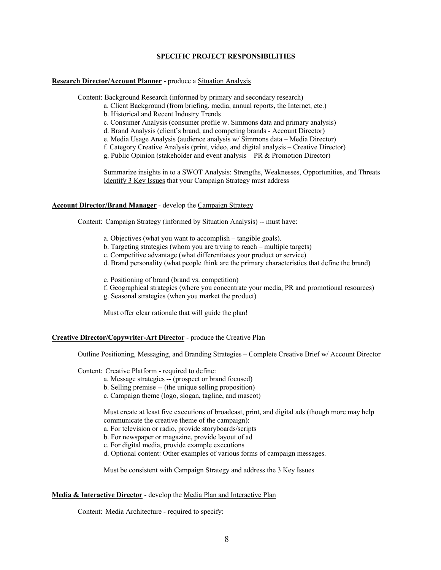#### **SPECIFIC PROJECT RESPONSIBILITIES**

#### **Research Director/Account Planner** - produce a Situation Analysis

Content: Background Research (informed by primary and secondary research)

- a. Client Background (from briefing, media, annual reports, the Internet, etc.)
- b. Historical and Recent Industry Trends
- c. Consumer Analysis (consumer profile w. Simmons data and primary analysis)
- d. Brand Analysis (client's brand, and competing brands Account Director)
- e. Media Usage Analysis (audience analysis w/ Simmons data Media Director)
- f. Category Creative Analysis (print, video, and digital analysis Creative Director)
- g. Public Opinion (stakeholder and event analysis PR & Promotion Director)

Summarize insights in to a SWOT Analysis: Strengths, Weaknesses, Opportunities, and Threats Identify 3 Key Issues that your Campaign Strategy must address

#### **Account Director/Brand Manager** - develop the Campaign Strategy

Content: Campaign Strategy (informed by Situation Analysis) -- must have:

- a. Objectives (what you want to accomplish tangible goals).
- b. Targeting strategies (whom you are trying to reach multiple targets)
- c. Competitive advantage (what differentiates your product or service)
- d. Brand personality (what people think are the primary characteristics that define the brand)
- e. Positioning of brand (brand vs. competition)
- f. Geographical strategies (where you concentrate your media, PR and promotional resources)
- g. Seasonal strategies (when you market the product)

Must offer clear rationale that will guide the plan!

#### **Creative Director/Copywriter-Art Director** - produce the Creative Plan

Outline Positioning, Messaging, and Branding Strategies – Complete Creative Brief w/ Account Director

Content: Creative Platform - required to define:

- a. Message strategies -- (prospect or brand focused)
- b. Selling premise -- (the unique selling proposition)
- c. Campaign theme (logo, slogan, tagline, and mascot)

Must create at least five executions of broadcast, print, and digital ads (though more may help communicate the creative theme of the campaign):

a. For television or radio, provide storyboards/scripts

- b. For newspaper or magazine, provide layout of ad
- c. For digital media, provide example executions
- d. Optional content: Other examples of various forms of campaign messages.

Must be consistent with Campaign Strategy and address the 3 Key Issues

## **Media & Interactive Director** - develop the Media Plan and Interactive Plan

Content: Media Architecture - required to specify: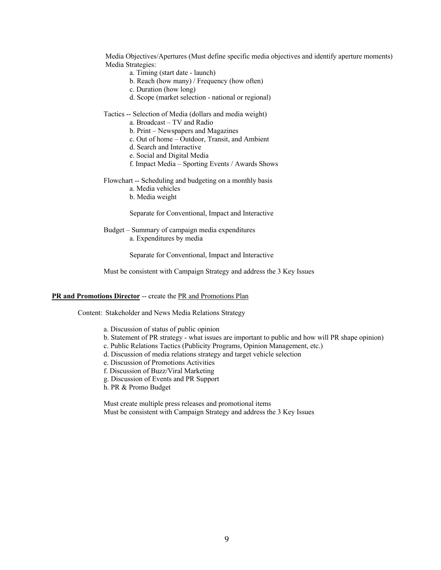Media Objectives/Apertures (Must define specific media objectives and identify aperture moments) Media Strategies:

- a. Timing (start date launch)
- b. Reach (how many) / Frequency (how often)
- c. Duration (how long)
- d. Scope (market selection national or regional)
- Tactics -- Selection of Media (dollars and media weight)
	- a. Broadcast TV and Radio
	- b. Print Newspapers and Magazines
	- c. Out of home Outdoor, Transit, and Ambient
	- d. Search and Interactive
	- e. Social and Digital Media
	- f. Impact Media Sporting Events / Awards Shows

Flowchart -- Scheduling and budgeting on a monthly basis

- a. Media vehicles
- b. Media weight

Separate for Conventional, Impact and Interactive

Budget – Summary of campaign media expenditures a. Expenditures by media

Separate for Conventional, Impact and Interactive

Must be consistent with Campaign Strategy and address the 3 Key Issues

#### **PR and Promotions Director** -- create the PR and Promotions Plan

Content: Stakeholder and News Media Relations Strategy

- a. Discussion of status of public opinion
- b. Statement of PR strategy what issues are important to public and how will PR shape opinion)
- c. Public Relations Tactics (Publicity Programs, Opinion Management, etc.)
- d. Discussion of media relations strategy and target vehicle selection
- e. Discussion of Promotions Activities
- f. Discussion of Buzz/Viral Marketing
- g. Discussion of Events and PR Support
- h. PR & Promo Budget

Must create multiple press releases and promotional items Must be consistent with Campaign Strategy and address the 3 Key Issues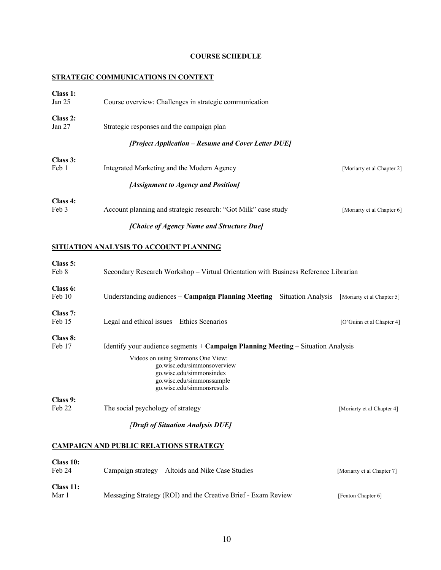# **COURSE SCHEDULE**

# **STRATEGIC COMMUNICATIONS IN CONTEXT**

| Class 1:<br>Jan <sub>25</sub> | Course overview: Challenges in strategic communication         |                            |
|-------------------------------|----------------------------------------------------------------|----------------------------|
| Class 2:<br>Jan 27            | Strategic responses and the campaign plan                      |                            |
|                               | [Project Application – Resume and Cover Letter DUE]            |                            |
| Class 3:<br>Feb 1             | Integrated Marketing and the Modern Agency                     | [Moriarty et al Chapter 2] |
|                               | [Assignment to Agency and Position]                            |                            |
| Class 4:<br>Feb 3             | Account planning and strategic research: "Got Milk" case study | [Moriarty et al Chapter 6] |
|                               | [Choice of Agency Name and Structure Due]                      |                            |

## **SITUATION ANALYSIS TO ACCOUNT PLANNING**

| Class 5: |                                                                                      |                            |
|----------|--------------------------------------------------------------------------------------|----------------------------|
| Feb 8    | Secondary Research Workshop – Virtual Orientation with Business Reference Librarian  |                            |
| Class 6: |                                                                                      |                            |
| Feb 10   | Understanding audiences $+$ Campaign Planning Meeting $-$ Situation Analysis         | Moriarty et al Chapter 5   |
| Class 7: |                                                                                      |                            |
| Feb 15   | Legal and ethical issues – Ethics Scenarios                                          | [O'Guinn et al Chapter 4]  |
| Class 8: |                                                                                      |                            |
| Feb 17   | Identify your audience segments $+$ Campaign Planning Meeting $-$ Situation Analysis |                            |
|          | Videos on using Simmons One View:                                                    |                            |
|          | go.wisc.edu/simmonsoverview                                                          |                            |
|          | go.wisc.edu/simmonsindex<br>go.wisc.edu/simmonssample                                |                            |
|          | go.wisc.edu/simmonsresults                                                           |                            |
| Class 9: |                                                                                      |                            |
| Feb 22   | The social psychology of strategy                                                    | [Moriarty et al Chapter 4] |
|          | [Draft of Situation Analysis DUE]                                                    |                            |

# **CAMPAIGN AND PUBLIC RELATIONS STRATEGY**

| Class 10:<br>Feb 24 | Campaign strategy – Altoids and Nike Case Studies             | [Moriarty et al Chapter 7] |
|---------------------|---------------------------------------------------------------|----------------------------|
| Class 11:<br>Mar 1  | Messaging Strategy (ROI) and the Creative Brief - Exam Review | [Fenton Chapter 6]         |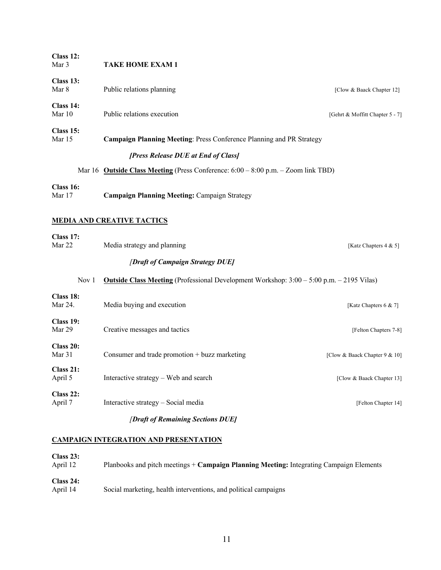| Class 12:<br>Mar 3   | <b>TAKE HOME EXAM 1</b>                                                                         |                                 |
|----------------------|-------------------------------------------------------------------------------------------------|---------------------------------|
| Class 13:<br>Mar 8   | Public relations planning                                                                       | [Clow & Baack Chapter 12]       |
| Class 14:<br>Mar 10  | Public relations execution                                                                      | [Gehrt & Moffitt Chapter 5 - 7] |
| Class 15:<br>Mar 15  | Campaign Planning Meeting: Press Conference Planning and PR Strategy                            |                                 |
|                      | [Press Release DUE at End of Class]                                                             |                                 |
|                      | Mar 16 Outside Class Meeting (Press Conference: $6:00 - 8:00$ p.m. $-$ Zoom link TBD)           |                                 |
| Class 16:<br>Mar 17  | <b>Campaign Planning Meeting: Campaign Strategy</b>                                             |                                 |
|                      | <b>MEDIA AND CREATIVE TACTICS</b>                                                               |                                 |
| Class 17:<br>Mar 22  | Media strategy and planning                                                                     | [Katz Chapters $4 & 5$ ]        |
|                      | [Draft of Campaign Strategy DUE]                                                                |                                 |
| Nov 1                | <b>Outside Class Meeting</b> (Professional Development Workshop: 3:00 – 5:00 p.m. – 2195 Vilas) |                                 |
| Class 18:<br>Mar 24. | Media buying and execution                                                                      | [Katz Chapters 6 & 7]           |
| Class 19:<br>Mar 29  | Creative messages and tactics                                                                   | [Felton Chapters 7-8]           |
| Class 20:<br>Mar 31  | Consumer and trade promotion + buzz marketing                                                   | [Clow & Baack Chapter 9 & 10]   |
| Class 21:<br>April 5 | Interactive strategy – Web and search                                                           | [Clow & Baack Chapter 13]       |

# **Class 22:**<br>April 7 Interactive strategy – Social media [Felton Chapter 14] *[Draft of Remaining Sections DUE]*

# **CAMPAIGN INTEGRATION AND PRESENTATION**

| Class 23:<br>April 12 | Planbooks and pitch meetings + Campaign Planning Meeting: Integrating Campaign Elements |
|-----------------------|-----------------------------------------------------------------------------------------|
| Class 24:<br>April 14 | Social marketing, health interventions, and political campaigns                         |